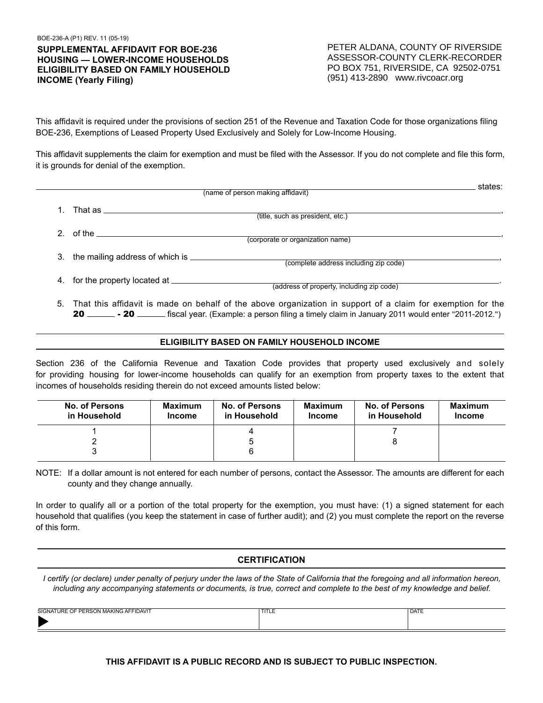# **SUPPLEMENTAL AFFIDAVIT FOR BOE-236 HOUSING — LOWER-INCOME HOUSEHOLDS ELIGIBILITY BASED ON FAMILY HOUSEHOLD INCOME (Yearly Filing)**

| <b>IUPPLEMENTAL AFFIDAVIT FOR BOE-236</b><br><b>IOUSING — LOWER-INCOME HOUSEHOLDS</b><br>LIGIBILITY BASED ON FAMILY HOUSEHOLD<br><b>NCOME (Yearly Filing)</b>                                                                                                                                                 |                                 |                                              | PETER ALDANA, COUNTY OF RIVERSIDE<br>ASSESSOR-COUNTY CLERK-RECORDER<br>PO BOX 751, RIVERSIDE, CA 92502-0751<br>(951) 413-2890 www.rivcoacr.org |                                                                                                                                                                                                                                        |                                 |
|---------------------------------------------------------------------------------------------------------------------------------------------------------------------------------------------------------------------------------------------------------------------------------------------------------------|---------------------------------|----------------------------------------------|------------------------------------------------------------------------------------------------------------------------------------------------|----------------------------------------------------------------------------------------------------------------------------------------------------------------------------------------------------------------------------------------|---------------------------------|
| his affidavit is required under the provisions of section 251 of the Revenue and Taxation Code for those organizations filing<br>OE-236, Exemptions of Leased Property Used Exclusively and Solely for Low-Income Housing.                                                                                    |                                 |                                              |                                                                                                                                                |                                                                                                                                                                                                                                        |                                 |
| his affidavit supplements the claim for exemption and must be filed with the Assessor. If you do not complete and file this form,<br>is grounds for denial of the exemption.                                                                                                                                  |                                 |                                              |                                                                                                                                                |                                                                                                                                                                                                                                        |                                 |
|                                                                                                                                                                                                                                                                                                               |                                 | (name of person making affidavit)            |                                                                                                                                                |                                                                                                                                                                                                                                        | <u>states:</u>                  |
| 1. That as <u>____________________________</u>                                                                                                                                                                                                                                                                |                                 |                                              | (title, such as president, etc.)                                                                                                               |                                                                                                                                                                                                                                        |                                 |
|                                                                                                                                                                                                                                                                                                               |                                 |                                              |                                                                                                                                                |                                                                                                                                                                                                                                        |                                 |
|                                                                                                                                                                                                                                                                                                               |                                 |                                              | (corporate or organization name)                                                                                                               |                                                                                                                                                                                                                                        |                                 |
|                                                                                                                                                                                                                                                                                                               |                                 |                                              | (complete address including zip code)                                                                                                          |                                                                                                                                                                                                                                        |                                 |
|                                                                                                                                                                                                                                                                                                               |                                 |                                              | (address of property, including zip code)                                                                                                      |                                                                                                                                                                                                                                        |                                 |
| 5.                                                                                                                                                                                                                                                                                                            |                                 |                                              |                                                                                                                                                | That this affidavit is made on behalf of the above organization in support of a claim for exemption for the<br>20 _______ - 20 _______ fiscal year. (Example: a person filing a timely claim in January 2011 would enter "2011-2012.") |                                 |
|                                                                                                                                                                                                                                                                                                               |                                 | ELIGIBILITY BASED ON FAMILY HOUSEHOLD INCOME |                                                                                                                                                |                                                                                                                                                                                                                                        |                                 |
| ection 236 of the California Revenue and Taxation Code provides that property used exclusively and solely<br>or providing housing for lower-income households can qualify for an exemption from property taxes to the extent that<br>comes of households residing therein do not exceed amounts listed below: |                                 |                                              |                                                                                                                                                |                                                                                                                                                                                                                                        |                                 |
| <b>No. of Persons</b><br>in Household                                                                                                                                                                                                                                                                         | <b>Maximum</b><br><b>Income</b> | <b>No. of Persons</b><br>in Household        | <b>Maximum</b><br><b>Income</b>                                                                                                                | <b>No. of Persons</b><br>in Household                                                                                                                                                                                                  | <b>Maximum</b><br><b>Income</b> |
| 1<br>2<br>3                                                                                                                                                                                                                                                                                                   |                                 | 4<br>5<br>6                                  |                                                                                                                                                | 7<br>8                                                                                                                                                                                                                                 |                                 |
| OTE: If a dollar amount is not entered for each number of persons, contact the Assessor. The amounts are different for each<br>county and they change annually.                                                                                                                                               |                                 |                                              |                                                                                                                                                |                                                                                                                                                                                                                                        |                                 |
| order to qualify all or a portion of the total property for the exemption, you must have: (1) a signed statement for each<br>ousehold that qualifies (you keep the statement in case of further audit); and (2) you must complete the report on the reverse<br>f this form.                                   |                                 |                                              |                                                                                                                                                |                                                                                                                                                                                                                                        |                                 |
|                                                                                                                                                                                                                                                                                                               |                                 | <b>CERTIFICATION</b>                         |                                                                                                                                                |                                                                                                                                                                                                                                        |                                 |
| I certify (or declare) under penalty of perjury under the laws of the State of California that the foregoing and all information hereon,<br>including any accompanying statements or documents, is true, correct and complete to the best of my knowledge and belief.                                         |                                 |                                              |                                                                                                                                                |                                                                                                                                                                                                                                        |                                 |
| <b>IGNATURE OF PERSON MAKING AFFIDAVIT</b>                                                                                                                                                                                                                                                                    |                                 | <b>TITLE</b>                                 |                                                                                                                                                | <b>DATE</b>                                                                                                                                                                                                                            |                                 |
|                                                                                                                                                                                                                                                                                                               |                                 |                                              |                                                                                                                                                | THIS AFFIDAVIT IS A PUBLIC RECORD AND IS SUBJECT TO PUBLIC INSPECTION.                                                                                                                                                                 |                                 |

# **ELIGIBILITY BASED ON FAMILY HOUSEHOLD INCOME**

| No. of Persons<br>in Household | <b>Maximum</b><br>Income | <b>No. of Persons</b><br>in Household | Maximum<br>Income | No. of Persons<br>in Household | <b>Maximum</b><br>Income |
|--------------------------------|--------------------------|---------------------------------------|-------------------|--------------------------------|--------------------------|
|                                |                          |                                       |                   |                                |                          |
|                                |                          |                                       |                   |                                |                          |
|                                |                          | b                                     |                   |                                |                          |

# **CERTIFICATION**

| SIGNATURE OF PERSON MAKING AFFIDAVIT | . .<br>. | <b>DATE</b><br>DAIL |
|--------------------------------------|----------|---------------------|
|                                      |          |                     |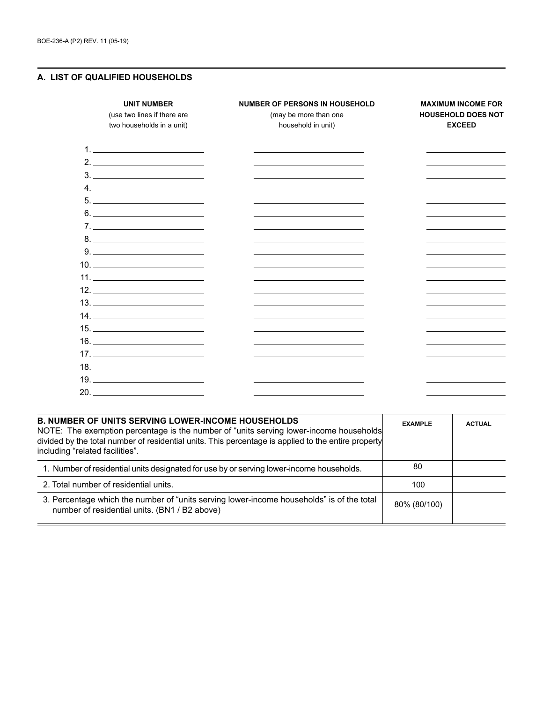# **A. LIST OF QUALIFIED HOUSEHOLDS**

| <b>UNIT NUMBER</b><br>(use two lines if there are<br>two households in a unit)                                                              | <b>NUMBER OF PERSONS IN HOUSEHOLD</b><br>(may be more than one<br>household in unit) | <b>MAXIMUM INCOME FOR</b><br><b>HOUSEHOLD DOES NOT</b><br><b>EXCEED</b> |
|---------------------------------------------------------------------------------------------------------------------------------------------|--------------------------------------------------------------------------------------|-------------------------------------------------------------------------|
|                                                                                                                                             |                                                                                      |                                                                         |
|                                                                                                                                             |                                                                                      |                                                                         |
| $\begin{tabular}{c} 3. \end{tabular}$                                                                                                       |                                                                                      |                                                                         |
|                                                                                                                                             | the control of the control of the control of the control of the control of           | the control of the control of the control of the                        |
| $\begin{tabular}{c} 5. & \begin{tabular}{@{}c@{}} \textbf{---} & \textbf{---} & \textbf{---} & \textbf{---} \\ \end{tabular} \end{tabular}$ |                                                                                      |                                                                         |
| $6.$                                                                                                                                        |                                                                                      |                                                                         |
| $7.$ $\overline{\phantom{a}}$                                                                                                               |                                                                                      |                                                                         |
|                                                                                                                                             |                                                                                      |                                                                         |
| $9. \underline{\hspace{2cm}}$                                                                                                               |                                                                                      |                                                                         |
|                                                                                                                                             |                                                                                      |                                                                         |
| 11.                                                                                                                                         |                                                                                      |                                                                         |
| $12. \_$                                                                                                                                    |                                                                                      |                                                                         |
|                                                                                                                                             |                                                                                      |                                                                         |
|                                                                                                                                             |                                                                                      |                                                                         |
|                                                                                                                                             |                                                                                      |                                                                         |
| $\begin{tabular}{c} 16. \end{tabular}$                                                                                                      |                                                                                      |                                                                         |
| $17. \_$                                                                                                                                    |                                                                                      |                                                                         |
|                                                                                                                                             |                                                                                      |                                                                         |
|                                                                                                                                             |                                                                                      |                                                                         |
|                                                                                                                                             |                                                                                      |                                                                         |

| <b>EXAMPLE</b> | <b>ACTUAL</b>                                                                                                                                                                                 |
|----------------|-----------------------------------------------------------------------------------------------------------------------------------------------------------------------------------------------|
| 80             |                                                                                                                                                                                               |
| 100            |                                                                                                                                                                                               |
| 80% (80/100)   |                                                                                                                                                                                               |
|                | NOTE: The exemption percentage is the number of "units serving lower-income households<br>divided by the total number of residential units. This percentage is applied to the entire property |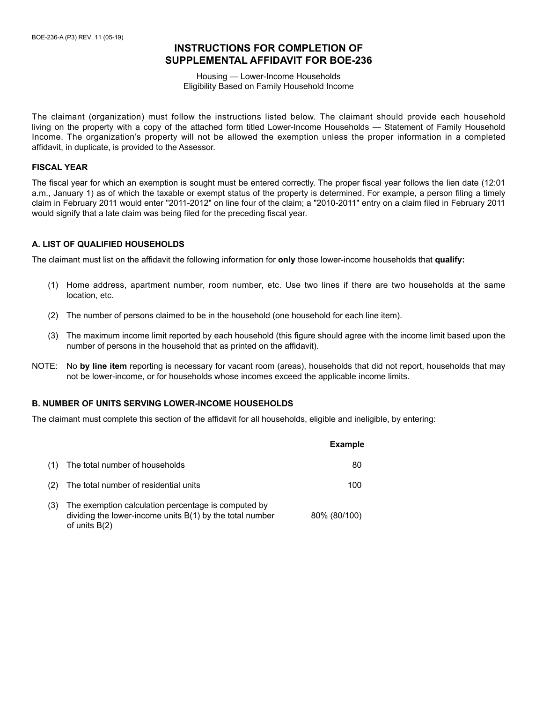# **INSTRUCTIONS FOR COMPLETION OF SUPPLEMENTAL AFFIDAVIT FOR BOE-236**

Housing — Lower-Income Households Eligibility Based on Family Household Income

The claimant (organization) must follow the instructions listed below. The claimant should provide each household living on the property with a copy of the attached form titled Lower-Income Households — Statement of Family Household Income. The organization's property will not be allowed the exemption unless the proper information in a completed affidavit, in duplicate, is provided to the Assessor.

## **FISCAL YEAR**

The fiscal year for which an exemption is sought must be entered correctly. The proper fiscal year follows the lien date (12:01 a.m., January 1) as of which the taxable or exempt status of the property is determined. For example, a person filing a timely claim in February 2011 would enter "2011-2012" on line four of the claim; a "2010-2011" entry on a claim filed in February 2011 would signify that a late claim was being filed for the preceding fiscal year.

## **A. LIST OF QUALIFIED HOUSEHOLDS**

The claimant must list on the affidavit the following information for **only** those lower-income households that **qualify:**

- (1) Home address, apartment number, room number, etc. Use two lines if there are two households at the same location, etc.
- (2) The number of persons claimed to be in the household (one household for each line item).
- (3) The maximum income limit reported by each household (this figure should agree with the income limit based upon the number of persons in the household that as printed on the affidavit).
- NOTE: No **by line item** reporting is necessary for vacant room (areas), households that did not report, households that may not be lower-income, or for households whose incomes exceed the applicable income limits.

## **B. NUMBER OF UNITS SERVING LOWER-INCOME HOUSEHOLDS**

The claimant must complete this section of the affidavit for all households, eligible and ineligible, by entering:

|     |                                                                                                                                      | <b>Example</b> |
|-----|--------------------------------------------------------------------------------------------------------------------------------------|----------------|
| (1) | The total number of households                                                                                                       | 80             |
| (2) | The total number of residential units                                                                                                | 100            |
| (3) | The exemption calculation percentage is computed by<br>dividing the lower-income units $B(1)$ by the total number<br>of units $B(2)$ | 80% (80/100)   |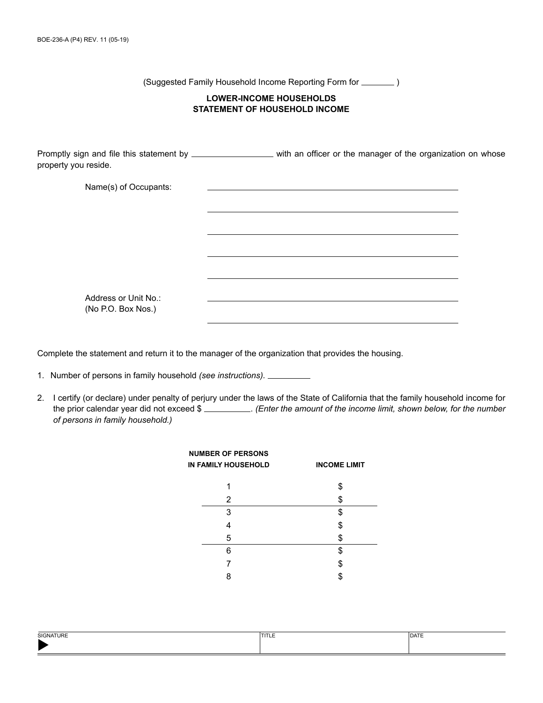(Suggested Family Household Income Reporting Form for  $\sqrt{ }$ 

# **LOWER-INCOME HOUSEHOLDS STATEMENT OF HOUSEHOLD INCOME**

Promptly sign and file this statement by \_\_\_\_\_\_\_\_\_\_\_\_\_\_\_\_\_\_\_\_ with an officer or the manager of the organization on whose property you reside.

| Name(s) of Occupants: |  |
|-----------------------|--|
|                       |  |
|                       |  |
|                       |  |
|                       |  |
|                       |  |
|                       |  |
|                       |  |
| Address or Unit No.:  |  |
| (No P.O. Box Nos.)    |  |

Complete the statement and return it to the manager of the organization that provides the housing.

- 1. Number of persons in family household *(see instructions).*
- 2. I certify (or declare) under penalty of perjury under the laws of the State of California that the family household income for the prior calendar year did not exceed \$ . *(Enter the amount of the income limit, shown below, for the number of persons in family household.)*

| <b>NUMBER OF PERSONS</b><br>IN FAMILY HOUSEHOLD | <b>INCOME LIMIT</b> |
|-------------------------------------------------|---------------------|
| 1                                               | \$                  |
| 2                                               | \$                  |
| 3                                               | \$                  |
| 4                                               | \$                  |
| 5                                               | \$                  |
| 6                                               | \$                  |
|                                                 | \$                  |
| я                                               |                     |

| SIGNATURE | $-1$<br>-<br>. | <b>DATE</b><br>⊷ |
|-----------|----------------|------------------|
|           |                |                  |